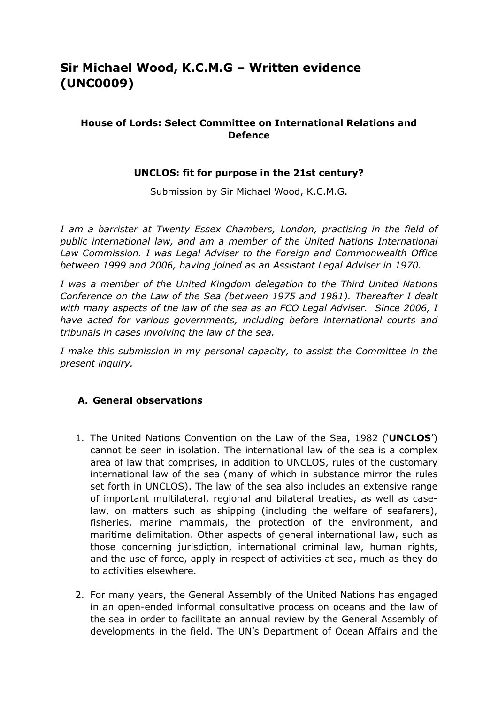# **Sir Michael Wood, K.C.M.G – Written evidence (UNC0009)**

## **House of Lords: Select Committee on International Relations and Defence**

#### **UNCLOS: fit for purpose in the 21st century?**

Submission by Sir Michael Wood, K.C.M.G.

*I am a barrister at Twenty Essex Chambers, London, practising in the field of public international law, and am a member of the United Nations International Law Commission. I was Legal Adviser to the Foreign and Commonwealth Office between 1999 and 2006, having joined as an Assistant Legal Adviser in 1970.*

*I was a member of the United Kingdom delegation to the Third United Nations Conference on the Law of the Sea (between 1975 and 1981). Thereafter I dealt with many aspects of the law of the sea as an FCO Legal Adviser. Since 2006, I have acted for various governments, including before international courts and tribunals in cases involving the law of the sea.*

*I make this submission in my personal capacity, to assist the Committee in the present inquiry.*

#### **A. General observations**

- 1. The United Nations Convention on the Law of the Sea, 1982 ('**UNCLOS**') cannot be seen in isolation. The international law of the sea is a complex area of law that comprises, in addition to UNCLOS, rules of the customary international law of the sea (many of which in substance mirror the rules set forth in UNCLOS). The law of the sea also includes an extensive range of important multilateral, regional and bilateral treaties, as well as caselaw, on matters such as shipping (including the welfare of seafarers), fisheries, marine mammals, the protection of the environment, and maritime delimitation. Other aspects of general international law, such as those concerning jurisdiction, international criminal law, human rights, and the use of force, apply in respect of activities at sea, much as they do to activities elsewhere.
- 2. For many years, the General Assembly of the United Nations has engaged in an open-ended informal consultative process on oceans and the law of the sea in order to facilitate an annual review by the General Assembly of developments in the field. The UN's Department of Ocean Affairs and the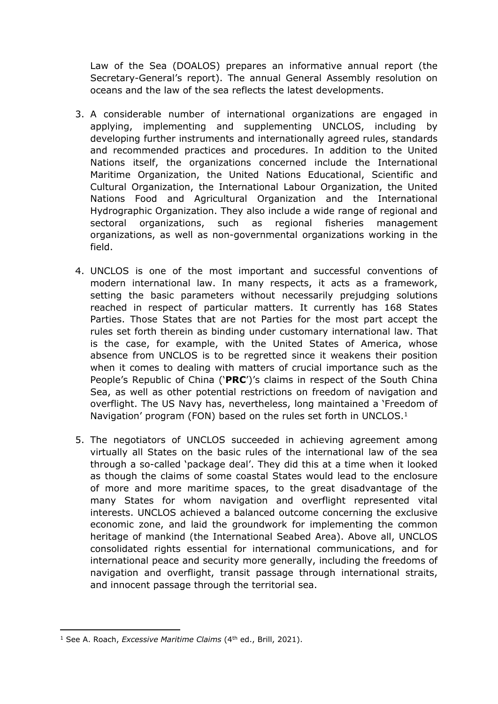Law of the Sea (DOALOS) prepares an informative annual report (the Secretary-General's report). The annual General Assembly resolution on oceans and the law of the sea reflects the latest developments.

- 3. A considerable number of international organizations are engaged in applying, implementing and supplementing UNCLOS, including by developing further instruments and internationally agreed rules, standards and recommended practices and procedures. In addition to the United Nations itself, the organizations concerned include the International Maritime Organization, the United Nations Educational, Scientific and Cultural Organization, the International Labour Organization, the United Nations Food and Agricultural Organization and the International Hydrographic Organization. They also include a wide range of regional and sectoral organizations, such as regional fisheries management organizations, as well as non-governmental organizations working in the field.
- 4. UNCLOS is one of the most important and successful conventions of modern international law. In many respects, it acts as a framework, setting the basic parameters without necessarily prejudging solutions reached in respect of particular matters. It currently has 168 States Parties. Those States that are not Parties for the most part accept the rules set forth therein as binding under customary international law. That is the case, for example, with the United States of America, whose absence from UNCLOS is to be regretted since it weakens their position when it comes to dealing with matters of crucial importance such as the People's Republic of China ('**PRC**')'s claims in respect of the South China Sea, as well as other potential restrictions on freedom of navigation and overflight. The US Navy has, nevertheless, long maintained a 'Freedom of Navigation' program (FON) based on the rules set forth in UNCLOS.<sup>1</sup>
- 5. The negotiators of UNCLOS succeeded in achieving agreement among virtually all States on the basic rules of the international law of the sea through a so-called 'package deal'. They did this at a time when it looked as though the claims of some coastal States would lead to the enclosure of more and more maritime spaces, to the great disadvantage of the many States for whom navigation and overflight represented vital interests. UNCLOS achieved a balanced outcome concerning the exclusive economic zone, and laid the groundwork for implementing the common heritage of mankind (the International Seabed Area). Above all, UNCLOS consolidated rights essential for international communications, and for international peace and security more generally, including the freedoms of navigation and overflight, transit passage through international straits, and innocent passage through the territorial sea.

<sup>1</sup> See A. Roach, *Excessive Maritime Claims* (4th ed., Brill, 2021).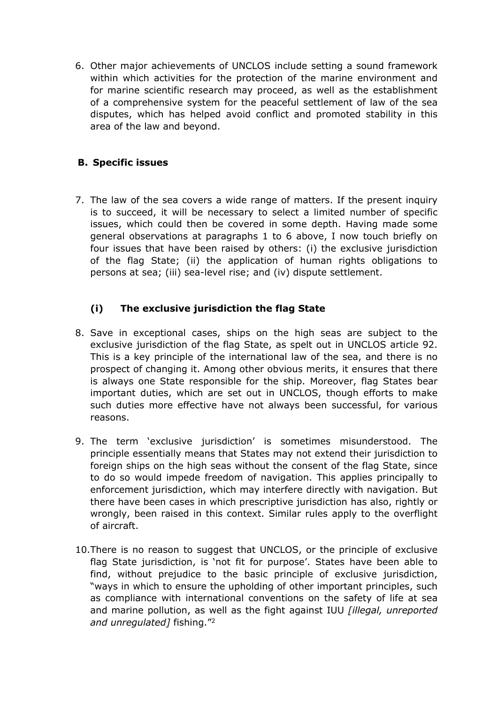6. Other major achievements of UNCLOS include setting a sound framework within which activities for the protection of the marine environment and for marine scientific research may proceed, as well as the establishment of a comprehensive system for the peaceful settlement of law of the sea disputes, which has helped avoid conflict and promoted stability in this area of the law and beyond.

# **B. Specific issues**

7. The law of the sea covers a wide range of matters. If the present inquiry is to succeed, it will be necessary to select a limited number of specific issues, which could then be covered in some depth. Having made some general observations at paragraphs 1 to 6 above, I now touch briefly on four issues that have been raised by others: (i) the exclusive jurisdiction of the flag State; (ii) the application of human rights obligations to persons at sea; (iii) sea-level rise; and (iv) dispute settlement.

# **(i) The exclusive jurisdiction the flag State**

- 8. Save in exceptional cases, ships on the high seas are subject to the exclusive jurisdiction of the flag State, as spelt out in UNCLOS article 92. This is a key principle of the international law of the sea, and there is no prospect of changing it. Among other obvious merits, it ensures that there is always one State responsible for the ship. Moreover, flag States bear important duties, which are set out in UNCLOS, though efforts to make such duties more effective have not always been successful, for various reasons.
- 9. The term 'exclusive jurisdiction' is sometimes misunderstood. The principle essentially means that States may not extend their jurisdiction to foreign ships on the high seas without the consent of the flag State, since to do so would impede freedom of navigation. This applies principally to enforcement jurisdiction, which may interfere directly with navigation. But there have been cases in which prescriptive jurisdiction has also, rightly or wrongly, been raised in this context. Similar rules apply to the overflight of aircraft.
- 10.There is no reason to suggest that UNCLOS, or the principle of exclusive flag State jurisdiction, is 'not fit for purpose'. States have been able to find, without prejudice to the basic principle of exclusive jurisdiction, "ways in which to ensure the upholding of other important principles, such as compliance with international conventions on the safety of life at sea and marine pollution, as well as the fight against IUU *[illegal, unreported and unregulated]* fishing."<sup>2</sup>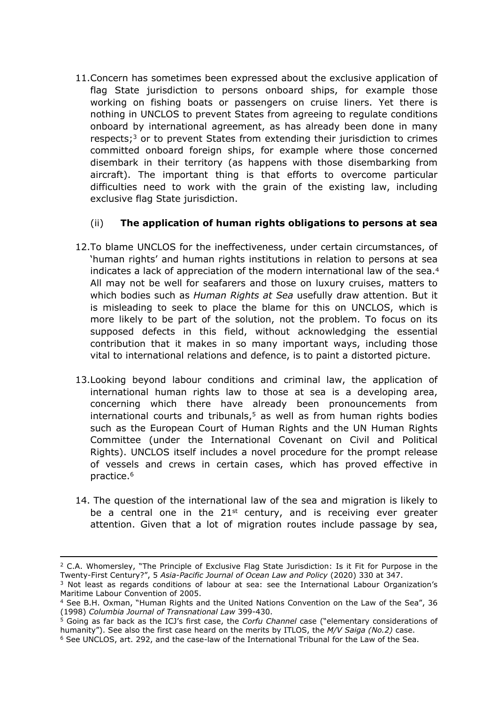11.Concern has sometimes been expressed about the exclusive application of flag State jurisdiction to persons onboard ships, for example those working on fishing boats or passengers on cruise liners. Yet there is nothing in UNCLOS to prevent States from agreeing to regulate conditions onboard by international agreement, as has already been done in many respects;<sup>3</sup> or to prevent States from extending their jurisdiction to crimes committed onboard foreign ships, for example where those concerned disembark in their territory (as happens with those disembarking from aircraft). The important thing is that efforts to overcome particular difficulties need to work with the grain of the existing law, including exclusive flag State jurisdiction.

# (ii) **The application of human rights obligations to persons at sea**

- 12.To blame UNCLOS for the ineffectiveness, under certain circumstances, of 'human rights' and human rights institutions in relation to persons at sea indicates a lack of appreciation of the modern international law of the sea.<sup>4</sup> All may not be well for seafarers and those on luxury cruises, matters to which bodies such as *Human Rights at Sea* usefully draw attention. But it is misleading to seek to place the blame for this on UNCLOS, which is more likely to be part of the solution, not the problem. To focus on its supposed defects in this field, without acknowledging the essential contribution that it makes in so many important ways, including those vital to international relations and defence, is to paint a distorted picture.
- 13.Looking beyond labour conditions and criminal law, the application of international human rights law to those at sea is a developing area, concerning which there have already been pronouncements from international courts and tribunals, $5$  as well as from human rights bodies such as the European Court of Human Rights and the UN Human Rights Committee (under the International Covenant on Civil and Political Rights). UNCLOS itself includes a novel procedure for the prompt release of vessels and crews in certain cases, which has proved effective in practice.<sup>6</sup>
- 14. The question of the international law of the sea and migration is likely to be a central one in the  $21<sup>st</sup>$  century, and is receiving ever greater attention. Given that a lot of migration routes include passage by sea,

<sup>&</sup>lt;sup>2</sup> C.A. Whomersley, "The Principle of Exclusive Flag State Jurisdiction: Is it Fit for Purpose in the Twenty-First Century?", 5 *Asia-Pacific Journal of Ocean Law and Policy* (2020) 330 at 347.

<sup>3</sup> Not least as regards conditions of labour at sea: see the International Labour Organization's Maritime Labour Convention of 2005.

<sup>4</sup> See B.H. Oxman, "Human Rights and the United Nations Convention on the Law of the Sea", 36 (1998) *Columbia Journal of Transnational Law* 399-430.

<sup>5</sup> Going as far back as the ICJ's first case, the *Corfu Channel* case ("elementary considerations of humanity"). See also the first case heard on the merits by ITLOS, the *M/V Saiga (No.2)* case.

<sup>6</sup> See UNCLOS, art. 292, and the case-law of the International Tribunal for the Law of the Sea.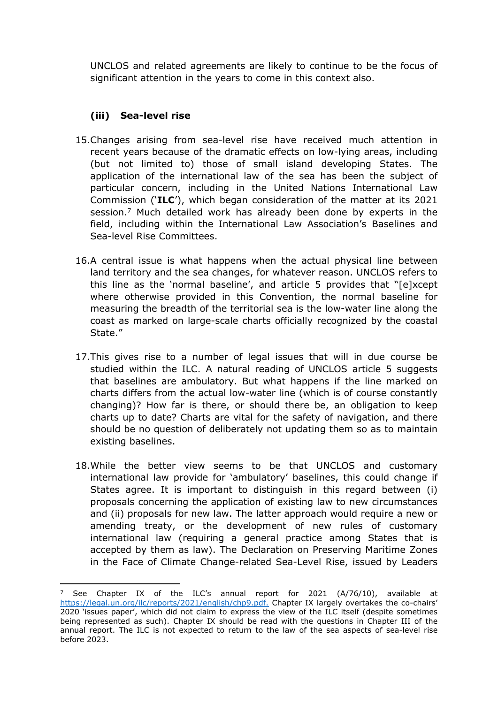UNCLOS and related agreements are likely to continue to be the focus of significant attention in the years to come in this context also.

## **(iii) Sea-level rise**

- 15.Changes arising from sea-level rise have received much attention in recent years because of the dramatic effects on low-lying areas, including (but not limited to) those of small island developing States. The application of the international law of the sea has been the subject of particular concern, including in the United Nations International Law Commission ('**ILC**'), which began consideration of the matter at its 2021 session.<sup>7</sup> Much detailed work has already been done by experts in the field, including within the International Law Association's Baselines and Sea-level Rise Committees.
- 16.A central issue is what happens when the actual physical line between land territory and the sea changes, for whatever reason. UNCLOS refers to this line as the 'normal baseline', and article 5 provides that "[e]xcept where otherwise provided in this Convention, the normal baseline for measuring the breadth of the territorial sea is the low-water line along the coast as marked on large-scale charts officially recognized by the coastal State."
- 17.This gives rise to a number of legal issues that will in due course be studied within the ILC. A natural reading of UNCLOS article 5 suggests that baselines are ambulatory. But what happens if the line marked on charts differs from the actual low-water line (which is of course constantly changing)? How far is there, or should there be, an obligation to keep charts up to date? Charts are vital for the safety of navigation, and there should be no question of deliberately not updating them so as to maintain existing baselines.
- 18.While the better view seems to be that UNCLOS and customary international law provide for 'ambulatory' baselines, this could change if States agree. It is important to distinguish in this regard between (i) proposals concerning the application of existing law to new circumstances and (ii) proposals for new law. The latter approach would require a new or amending treaty, or the development of new rules of customary international law (requiring a general practice among States that is accepted by them as law). The Declaration on Preserving Maritime Zones in the Face of Climate Change-related Sea-Level Rise, issued by Leaders

<sup>7</sup> See Chapter IX of the ILC's annual report for 2021 (A/76/10), available at [https://legal.un.org/ilc/reports/2021/english/chp9.pdf.](https://legal.un.org/ilc/reports/2021/english/chp9.pdf) Chapter IX largely overtakes the co-chairs' 2020 'issues paper', which did not claim to express the view of the ILC itself (despite sometimes being represented as such). Chapter IX should be read with the questions in Chapter III of the annual report. The ILC is not expected to return to the law of the sea aspects of sea-level rise before 2023.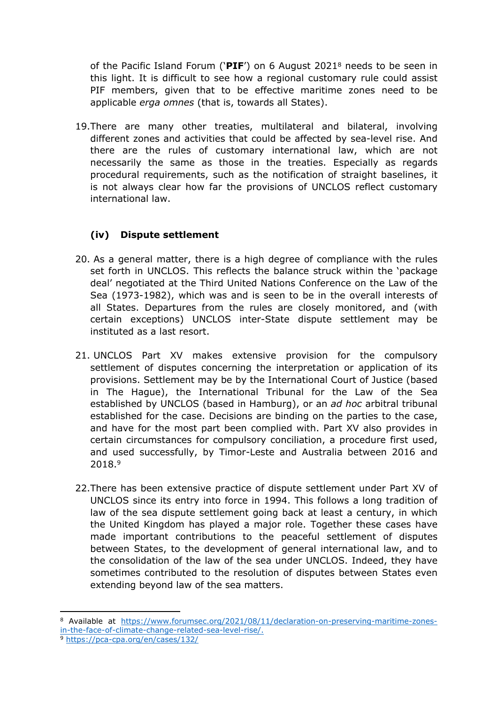of the Pacific Island Forum ('**PIF**') on 6 August 2021<sup>8</sup> needs to be seen in this light. It is difficult to see how a regional customary rule could assist PIF members, given that to be effective maritime zones need to be applicable *erga omnes* (that is, towards all States).

19.There are many other treaties, multilateral and bilateral, involving different zones and activities that could be affected by sea-level rise. And there are the rules of customary international law, which are not necessarily the same as those in the treaties. Especially as regards procedural requirements, such as the notification of straight baselines, it is not always clear how far the provisions of UNCLOS reflect customary international law.

# **(iv) Dispute settlement**

- 20. As a general matter, there is a high degree of compliance with the rules set forth in UNCLOS. This reflects the balance struck within the 'package deal' negotiated at the Third United Nations Conference on the Law of the Sea (1973-1982), which was and is seen to be in the overall interests of all States. Departures from the rules are closely monitored, and (with certain exceptions) UNCLOS inter-State dispute settlement may be instituted as a last resort.
- 21. UNCLOS Part XV makes extensive provision for the compulsory settlement of disputes concerning the interpretation or application of its provisions. Settlement may be by the International Court of Justice (based in The Hague), the International Tribunal for the Law of the Sea established by UNCLOS (based in Hamburg), or an *ad hoc* arbitral tribunal established for the case. Decisions are binding on the parties to the case, and have for the most part been complied with. Part XV also provides in certain circumstances for compulsory conciliation, a procedure first used, and used successfully, by Timor-Leste and Australia between 2016 and 2018.<sup>9</sup>
- 22.There has been extensive practice of dispute settlement under Part XV of UNCLOS since its entry into force in 1994. This follows a long tradition of law of the sea dispute settlement going back at least a century, in which the United Kingdom has played a major role. Together these cases have made important contributions to the peaceful settlement of disputes between States, to the development of general international law, and to the consolidation of the law of the sea under UNCLOS. Indeed, they have sometimes contributed to the resolution of disputes between States even extending beyond law of the sea matters.

<sup>8</sup> Available at [https://www.forumsec.org/2021/08/11/declaration-on-preserving-maritime-zones](https://www.forumsec.org/2021/08/11/declaration-on-preserving-maritime-zones-in-the-face-of-climate-change-related-sea-level-rise/)[in-the-face-of-climate-change-related-sea-level-rise/](https://www.forumsec.org/2021/08/11/declaration-on-preserving-maritime-zones-in-the-face-of-climate-change-related-sea-level-rise/).

<sup>9</sup> <https://pca-cpa.org/en/cases/132/>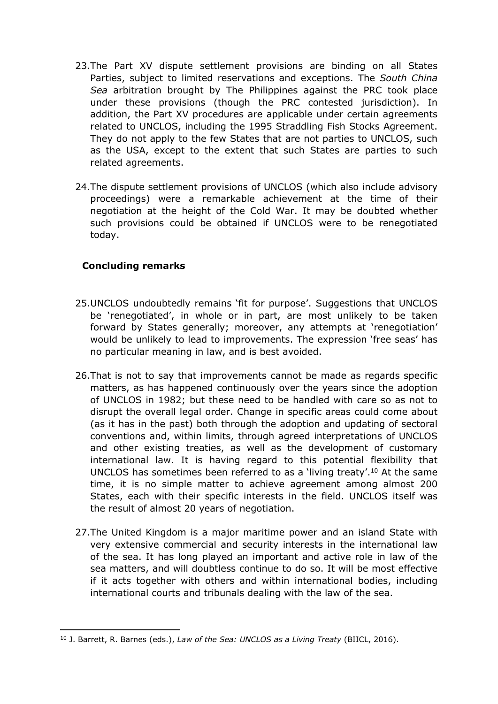- 23.The Part XV dispute settlement provisions are binding on all States Parties, subject to limited reservations and exceptions. The *South China Sea* arbitration brought by The Philippines against the PRC took place under these provisions (though the PRC contested jurisdiction). In addition, the Part XV procedures are applicable under certain agreements related to UNCLOS, including the 1995 Straddling Fish Stocks Agreement. They do not apply to the few States that are not parties to UNCLOS, such as the USA, except to the extent that such States are parties to such related agreements.
- 24.The dispute settlement provisions of UNCLOS (which also include advisory proceedings) were a remarkable achievement at the time of their negotiation at the height of the Cold War. It may be doubted whether such provisions could be obtained if UNCLOS were to be renegotiated today.

#### **Concluding remarks**

- 25.UNCLOS undoubtedly remains 'fit for purpose'. Suggestions that UNCLOS be 'renegotiated', in whole or in part, are most unlikely to be taken forward by States generally; moreover, any attempts at 'renegotiation' would be unlikely to lead to improvements. The expression 'free seas' has no particular meaning in law, and is best avoided.
- 26.That is not to say that improvements cannot be made as regards specific matters, as has happened continuously over the years since the adoption of UNCLOS in 1982; but these need to be handled with care so as not to disrupt the overall legal order. Change in specific areas could come about (as it has in the past) both through the adoption and updating of sectoral conventions and, within limits, through agreed interpretations of UNCLOS and other existing treaties, as well as the development of customary international law. It is having regard to this potential flexibility that UNCLOS has sometimes been referred to as a 'living treaty'.<sup>10</sup> At the same time, it is no simple matter to achieve agreement among almost 200 States, each with their specific interests in the field. UNCLOS itself was the result of almost 20 years of negotiation.
- 27.The United Kingdom is a major maritime power and an island State with very extensive commercial and security interests in the international law of the sea. It has long played an important and active role in law of the sea matters, and will doubtless continue to do so. It will be most effective if it acts together with others and within international bodies, including international courts and tribunals dealing with the law of the sea.

<sup>10</sup> J. Barrett, R. Barnes (eds.), *Law of the Sea: UNCLOS as a Living Treaty* (BIICL, 2016).